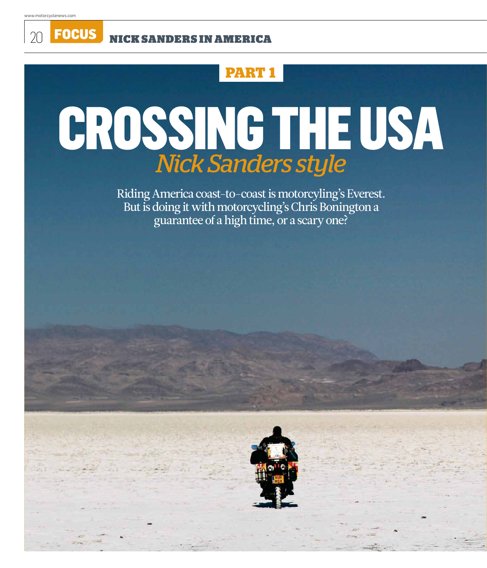20 **FOCUS** NIGK SANDERS IN AMERICA

## **Part 1**

# CROSSING THE USA *Nick Sanders style*

Riding America coast-to-coast is motorcyling's Everest. But is doing it with motorcycling's Chris Bonington a guarantee of a high time, or a scary one?

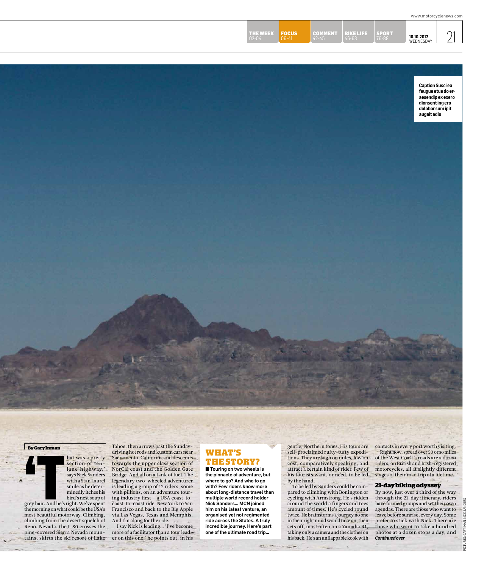| WEDNESDAY | TE EVV.<br>$-1$<br>02-04 | OCUS<br>$\bigcap$ $6 - 41$ | 꼬꼬리<br>$42 - 45$ | OELLEE<br>46-63 | 라면다리<br>$76 - 88$ | 10.10.2012 |  |
|-----------|--------------------------|----------------------------|------------------|-----------------|-------------------|------------|--|
|-----------|--------------------------|----------------------------|------------------|-----------------|-------------------|------------|--|

**Caption Susci ea feugue etue do eraesendip ex exero dionsent ing ero dolobor sum ipit augait adio**

#### **By Gary Inman**



bird's nest soup of grey hair. And he's right. We've spent the morning on what could be the USA's most beautiful motorway. Climbing, climbing from the desert squelch of Reno, Nevada, the I-80 crosses the pine-covered Sierra Nevada mountains, skirts the ski resort of Lake

section of tenlane highway,' says Nick Sanders with a Stan Laurel smile as he determinedly itches his

driving hot rods and kustom cars near<br> **the story of the story of the story of the story of the story of the story of the story of the story of the story of calculated adventure<br>
the pinacle of adventure<br>
with a Stan Laure** Tahoe, then arrows past the Sundaydriving hot rods and kustom cars near Sacramento, California and descends towards the upper class section of NorCal coast and the Golden Gate Bridge. And all on a tank of fuel. The legendary two-wheeled adventurer is leading a group of 12 riders, some with pillions, on an adventure touring industry first – a USA coast-tocoast-to-coast ride. New York to San Francisco and back to the Big Apple via Las Vegas, Texas and Memphis. And I'm along for the ride.

I say Nick is leading… 'I've become more of a facilitator than a tour leader on this one,' he points out, in his

# **What's**

■ Touring on two wheels is the pinnacle of adventure, but where to go? And who to go with? Few riders know more about long-distance travel than multiple world record holder Nick Sanders… MCN joined him on his latest venture, an organised yet not regimented ride across the States. A truly incredible journey. Here's part one of the ultimate road trip…

gentle, Northern tones. His tours are self-proclaimed rufty-tufty expeditions. They are high on miles, low on cost, comparatively speaking, and attract a certain kind of rider. Few of his tourists want, or need, to be led by the hand.

To be led by Sanders could be compared to climbing with Bonington or cycling with Armstrong. He's ridden around the world a fingers and toes amount of times. He's cycled round twice. He brainstorms a journey no one in their right mind would take on, then sets off, most often on a Yamaha R1, taking only a camera and the clothes on his back. He's an unflappable kook with

 $\sim$ 

contacts in every port worth visiting. Right now, spread over 50 or so miles of the West Coast's roads are a dozen riders, on British and Irish-registered motorcycles, all at slightly different stages of their road trip of a lifetime.

#### **21-day biking odyssey**

By now, just over a third of the way through the 21-day itinerary, riders have formed groups and set their own agendas. There are those who want to leave before sunrise, every day. Some prefer to stick with Nick. There are those who want to take a hundred photos at a dozen stops a day, and *Continued over*

pictures: gary iman, Nick sanders

SANDERS **SICK**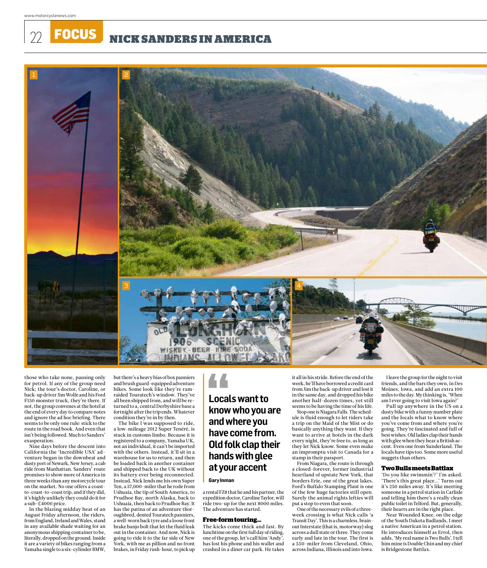FOCUS NICK SANDERS IN AMERICA



those who take none, pausing only for petrol. If any of the group need Nick; the tour's doctor, Caroline, or back-up driver Jim Wolfe and his Ford F150 monster truck, they're there. If not, the group convenes at the hotel at the end of every day to compare notes and ignore the ad hoc briefing. There seems to be only one rule: stick to the route in the road book. And even that isn't being followed. Much to Sanders' exasperation.

Nine days before the descent into California the 'Incredible USA' adventure began in the downbeat and dusty port of Newark, New Jersey, a cab ride from Manhattan. Sanders' route promises to show more of America in three weeks than any motorcycle tour on the market. No one offers a coastto-coast-to-coast trip, and if they did, it's highly unlikely they could do it for a sub-£4000 price.

In the blazing midday heat of an August Friday afternoon, the riders, from England, Ireland and Wales, stand in any available shade waiting for an anonymous shipping container to be, literally, dropped on the ground. Inside it are a variety of bikes ranging from a Yamaha single to a six-cylinder BMW,

but there's a heavy bias of box panniers and brush guard-equipped adventure bikes. Some look like they're ramraided Touratech's window. They've all been shipped from, and will be returned to a, central Derbyshire base a fortnight after the trip ends. Whatever condition they're in by then.

The bike I was supposed to ride, a low-mileage 2012 Super Tenéré, is stuck in customs limbo. Because it is registered to a company, Yamaha UK, not an individual, it can't be imported with the others. Instead, it'll sit in a warehouse for us to return, and then be loaded back in another container and shipped back to the UK without its battery ever being reconnected. Instead, Nick lends me his own Super Ten, a 57,000-miler that he rode from Ushuaia, the tip of South America, to Prudhoe Bay, north Alaska, back to Ushuaia, then back to Prudhoe Bay. It has the patina of an adventure thoroughbred, dented Touratech panniers, a well-worn back tyre and a loose front brake banjo bolt that let the fluid leak out in the container. And now, Nick is going to ride it to the far side of New York, with me as pillion and no front brakes, in Friday rush-hour, to pick up

## **Locals want to know who you are and where you have come from. Old folk clap their hands with glee at your accent**

#### **Gary Inman**

a rental FZ8 that he and his partner, the expedition doctor, Caroline Taylor, will ride two-up for the next 8000 miles. The adventure has started.

#### **Free-form touring…**

The kicks come thick and fast. By lunchtime on the first full day of riding, one of the group, let's call him 'Andy', has lost his phone and his wallet and crashed in a diner car park. He takes it all in his stride. Before the end of the week, he'll have borrowed a credit card from Jim the back-up driver and lost it in the same day, and dropped his bike another half-dozen times, yet still seems to be having the time of his life.

Stop one is Niagara Falls. The schedule is fluid enough to let riders take a trip on the Maid of the Mist or do basically anything they want. If they want to arrive at hotels in the dark every night, they're free to, as long as they let Nick know. Some even make an impromptu visit to Canada for a stamp in their passport.

From Niagara, the route is through a closed-forever, former industrial heartland of upstate New York, that borders Erie, one of the great lakes. Ford's Buffalo Stamping Plant is one of the few huge factories still open. Surely the animal rights lefties will put a stop to even that soon.

One of the necessary evils of a threeweek crossing is what Nick calls 'a Transit Day'. This is a charmless, brainout Interstate (that is, motorway) slog across a dull state or three. They come early and late in the tour. The first is a 550-miler from Cleveland, Ohio, across Indiana, Illinois and into Iowa.

I leave the group for the night to visit friends, and the bars they own, in Des Moines, Iowa, and add an extra 100 miles to the day. My thinking is, 'When am I ever going to visit Iowa again?'

Pull up anywhere in the US on a dusty bike with a funny number plate and the locals what to know where you've come from and where you're going. They're fascinated and full of best wishes. Old ladies clap their hands with glee when they hear a British accent. Even one from Sunderland. The locals have tips too. Some more useful nuggets than others.

#### **Two Bulls meets Battlax**

'Do you like swimmin'?' I'm asked. 'There's this great place...' Turns out it's 250 miles away. It's like meeting someone in a petrol station in Carlisle and telling him there's a really clean public toilet in Telford. But, generally, their hearts are in the right place.

Near Wounded Knee, on the edge of the South Dakota Badlands, I meet a native American in a petrol station. He introduces himself as Errol, then adds, 'My real name is Two Bulls'. I tell him mine is Double Chin and my chief is Bridgestone Battlax.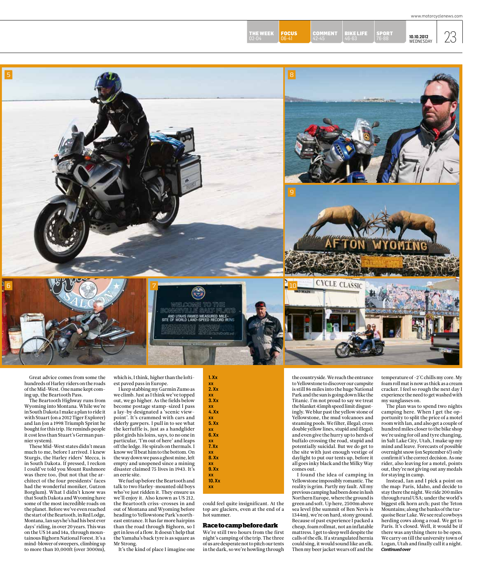10.10.2012  $23$ 

SPORT 76-88

BIKE LIFE 46-63

COMMENT

02-04 **06-41** 42-45 46-63 76-88 **10.10.2012** 

5 and 3 and 3 and 3 and 3 and 3 and 3 and 3 and 3 and 3 and 3 and 3 and 3 and 3 and 3 and 3 and 3 and 3 and 3 9

**FOCUS** 06-41

THE WEEK<br>02-04



Great advice comes from some the hundreds of Harley riders on the roads of the Mid-West. One name kept coming up, the Beartooth Pass.

6

The Beartooth Highway runs from Wyoming into Montana. While we're in South Dakota I make a plan to ride it with Stuart (on a 2012 Tiger Explorer) and Ian (on a 1998 Triumph Sprint he bought for this trip. He reminds people it cost less than Stuart's German pannier system).

These Mid-West states didn't mean much to me, before I arrived. I knew Sturgis, the Harley riders' Mecca, is in South Dakota. If pressed, I reckon I could've told you Mount Rushmore was there too, (but not that the architect of the four presidents' faces had the wonderful moniker, Gutzon Borglum). What I didn't know was that South Dakota and Wyoming have some of the most incredible roads on the planet. Before we've even reached the start of the Beartooth, in Red Lodge, Montana, Ian says he's had his best ever days' riding, in over 20 years. This was on the US 14 and 14a, through mountainous Bighorn National Forest. It's a mind-blower of sweepers, climbing up to more than 10,000ft (over 3000m),

which is, I think, higher than the loftiest paved pass in Europe.

I keep stabbing my Garmin Zumo as we climb. Just as I think we've topped out, we go higher. As the fields below become postage stamp-sized I pass a lay-by designated a 'scenic viewpoint'. It's crammed with cars and elderly gawpers. I pull in to see what the kerfuffle is, just as a handglider pilot girds his loins, says, to no one in particular, 'I'm out of here' and leaps off the ledge. He spirals on thermals. I know we'll beat him to the bottom. On the way down we pass a ghost mine, left empty and unopened since a mining disaster claimed 75 lives in 1943. It's an eerie site.

We fuel up before the Beartooth and talk to two Harley-mounted old boys who've just ridden it. They ensure us we'll enjoy it. Also known as US 212, the Beartooth criss-crosses in and out of Montana and Wyoming before heading to Yellowstone Park's northeast entrance. It has far more hairpins than the road through Bighorn, so I get in less of a flow. It doesn't help that the Yamaha's back tyre is as square as Mr Strong.

It's the kind of place I imagine one



could feel quite insignificant. At the top are glaciers, even at the end of a hot summer.

#### **Race to camp before dark**

We're still two hours from the first night's camping of the trip. The three of us are desperate not to pitch our tents in the dark, so we're howling through

the countryside. We reach the entrance to Yellowstone to discover our campsite is still 86 miles into the huge National Park and the sun is going down like the Titanic. I'm not proud to say we treat the blanket 45mph speed limit disgustingly. We blur past the yellow stone of Yellowstone, the mud volcanoes and steaming pools. We filter, illegal; cross double yellow lines, stupid and illegal; and even give the hurry up to herds of buffalo crossing the road, stupid and potentially suicidal. But we do get to the site with just enough vestige of daylight to put our tents up, before it all goes inky black and the Milky Way comes out.

**CYCLE CLASSIC** 

I found the idea of camping in Yellowstone impossibly romantic. The reality is grim. Partly my fault. All my previous camping had been done in lush Northern Europe, where the ground is green and soft. Up here, 2500m above sea level (the summit of Ben Nevis is 1344m), we're on hard, stony ground. Because of past experience I packed a cheap, foam rollmat, not an inflatable mattress. I get to sleep well despite the calls of the elk. If a strangulated hernia could sing, it would sound like an elk. Then my beer jacket wears off and the

temperature of -2°C chills my core. My foam roll mat is now as thick as a cream cracker. I feel so rough the next day I experience the need to get washed with my sunglasses on.

The plan was to spend two nights camping here. When I get the opportunity to split the price of a motel room with Ian, and also get a couple of hundred miles closer to the bike shop we're using for oil and tyre changing, in Salt Lake City, Utah, I make up my mind and leave. Forecasts of possible overnight snow (on September 6!) only confirm it's the correct decision. As one rider, also leaving for a motel, points out, they're not giving out any medals for staying in camp.

Instead, Ian and I pick a point on the map: Paris, Idaho, and decide to stay there the night. We ride 200 miles through rural USA; under the world's biggest elk horn arch; past the Teton Mountains; along the banks of the turquoise Bear Lake. We see real cowboys herding cows along a road. We get to Paris. It's closed. Well, it would be if there was anything there to be open. We carry on till the university town of Logan, Utah and finally call it a night. *Continued over*